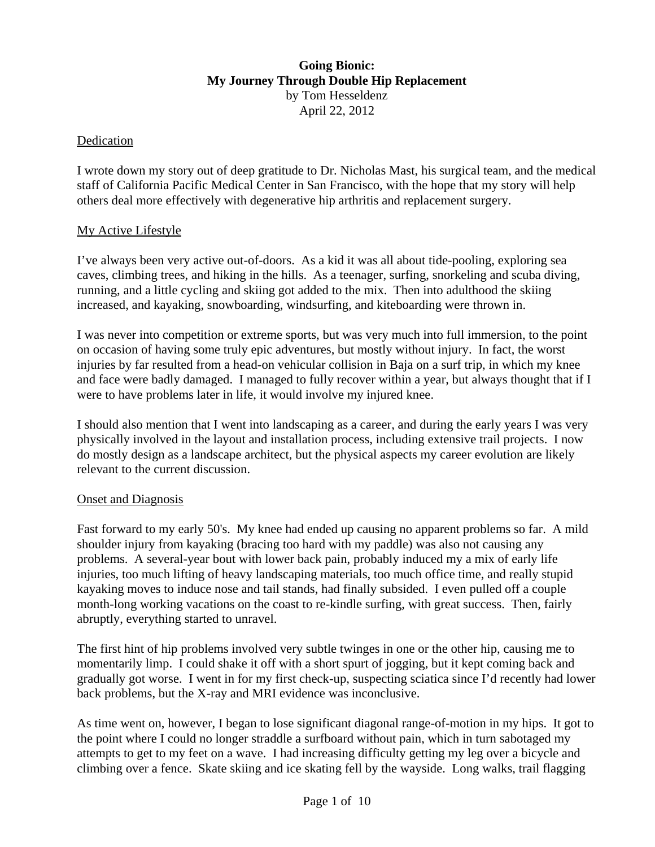# **Going Bionic: My Journey Through Double Hip Replacement** by Tom Hesseldenz April 22, 2012

### Dedication

I wrote down my story out of deep gratitude to Dr. Nicholas Mast, his surgical team, and the medical staff of California Pacific Medical Center in San Francisco, with the hope that my story will help others deal more effectively with degenerative hip arthritis and replacement surgery.

### My Active Lifestyle

I've always been very active out-of-doors. As a kid it was all about tide-pooling, exploring sea caves, climbing trees, and hiking in the hills. As a teenager, surfing, snorkeling and scuba diving, running, and a little cycling and skiing got added to the mix. Then into adulthood the skiing increased, and kayaking, snowboarding, windsurfing, and kiteboarding were thrown in.

I was never into competition or extreme sports, but was very much into full immersion, to the point on occasion of having some truly epic adventures, but mostly without injury. In fact, the worst injuries by far resulted from a head-on vehicular collision in Baja on a surf trip, in which my knee and face were badly damaged. I managed to fully recover within a year, but always thought that if I were to have problems later in life, it would involve my injured knee.

I should also mention that I went into landscaping as a career, and during the early years I was very physically involved in the layout and installation process, including extensive trail projects. I now do mostly design as a landscape architect, but the physical aspects my career evolution are likely relevant to the current discussion.

#### Onset and Diagnosis

Fast forward to my early 50's. My knee had ended up causing no apparent problems so far. A mild shoulder injury from kayaking (bracing too hard with my paddle) was also not causing any problems. A several-year bout with lower back pain, probably induced my a mix of early life injuries, too much lifting of heavy landscaping materials, too much office time, and really stupid kayaking moves to induce nose and tail stands, had finally subsided. I even pulled off a couple month-long working vacations on the coast to re-kindle surfing, with great success. Then, fairly abruptly, everything started to unravel.

The first hint of hip problems involved very subtle twinges in one or the other hip, causing me to momentarily limp. I could shake it off with a short spurt of jogging, but it kept coming back and gradually got worse. I went in for my first check-up, suspecting sciatica since I'd recently had lower back problems, but the X-ray and MRI evidence was inconclusive.

As time went on, however, I began to lose significant diagonal range-of-motion in my hips. It got to the point where I could no longer straddle a surfboard without pain, which in turn sabotaged my attempts to get to my feet on a wave. I had increasing difficulty getting my leg over a bicycle and climbing over a fence. Skate skiing and ice skating fell by the wayside. Long walks, trail flagging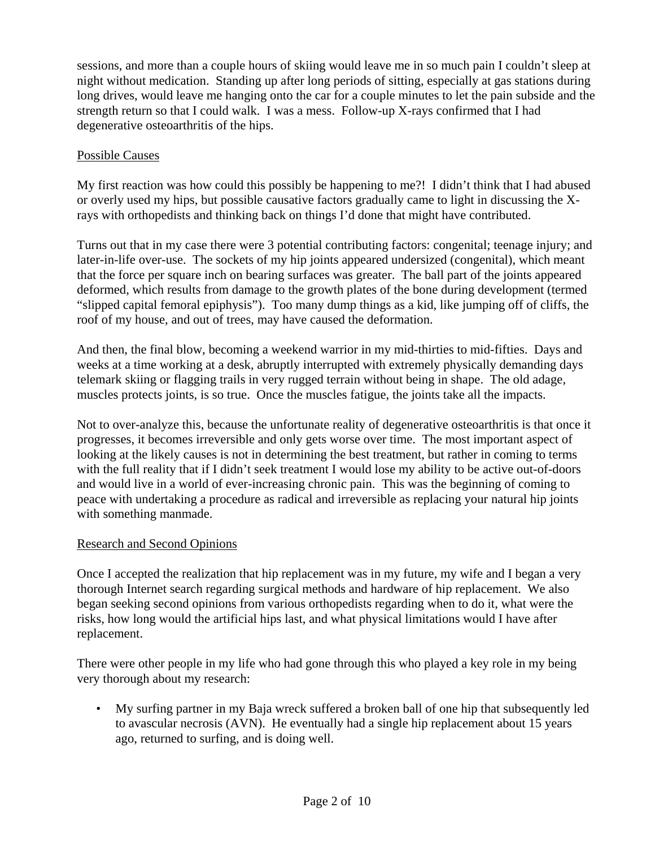sessions, and more than a couple hours of skiing would leave me in so much pain I couldn't sleep at night without medication. Standing up after long periods of sitting, especially at gas stations during long drives, would leave me hanging onto the car for a couple minutes to let the pain subside and the strength return so that I could walk. I was a mess. Follow-up X-rays confirmed that I had degenerative osteoarthritis of the hips.

# Possible Causes

My first reaction was how could this possibly be happening to me?! I didn't think that I had abused or overly used my hips, but possible causative factors gradually came to light in discussing the Xrays with orthopedists and thinking back on things I'd done that might have contributed.

Turns out that in my case there were 3 potential contributing factors: congenital; teenage injury; and later-in-life over-use. The sockets of my hip joints appeared undersized (congenital), which meant that the force per square inch on bearing surfaces was greater. The ball part of the joints appeared deformed, which results from damage to the growth plates of the bone during development (termed "slipped capital femoral epiphysis"). Too many dump things as a kid, like jumping off of cliffs, the roof of my house, and out of trees, may have caused the deformation.

And then, the final blow, becoming a weekend warrior in my mid-thirties to mid-fifties. Days and weeks at a time working at a desk, abruptly interrupted with extremely physically demanding days telemark skiing or flagging trails in very rugged terrain without being in shape. The old adage, muscles protects joints, is so true. Once the muscles fatigue, the joints take all the impacts.

Not to over-analyze this, because the unfortunate reality of degenerative osteoarthritis is that once it progresses, it becomes irreversible and only gets worse over time. The most important aspect of looking at the likely causes is not in determining the best treatment, but rather in coming to terms with the full reality that if I didn't seek treatment I would lose my ability to be active out-of-doors and would live in a world of ever-increasing chronic pain. This was the beginning of coming to peace with undertaking a procedure as radical and irreversible as replacing your natural hip joints with something manmade.

# Research and Second Opinions

Once I accepted the realization that hip replacement was in my future, my wife and I began a very thorough Internet search regarding surgical methods and hardware of hip replacement. We also began seeking second opinions from various orthopedists regarding when to do it, what were the risks, how long would the artificial hips last, and what physical limitations would I have after replacement.

There were other people in my life who had gone through this who played a key role in my being very thorough about my research:

• My surfing partner in my Baja wreck suffered a broken ball of one hip that subsequently led to avascular necrosis (AVN). He eventually had a single hip replacement about 15 years ago, returned to surfing, and is doing well.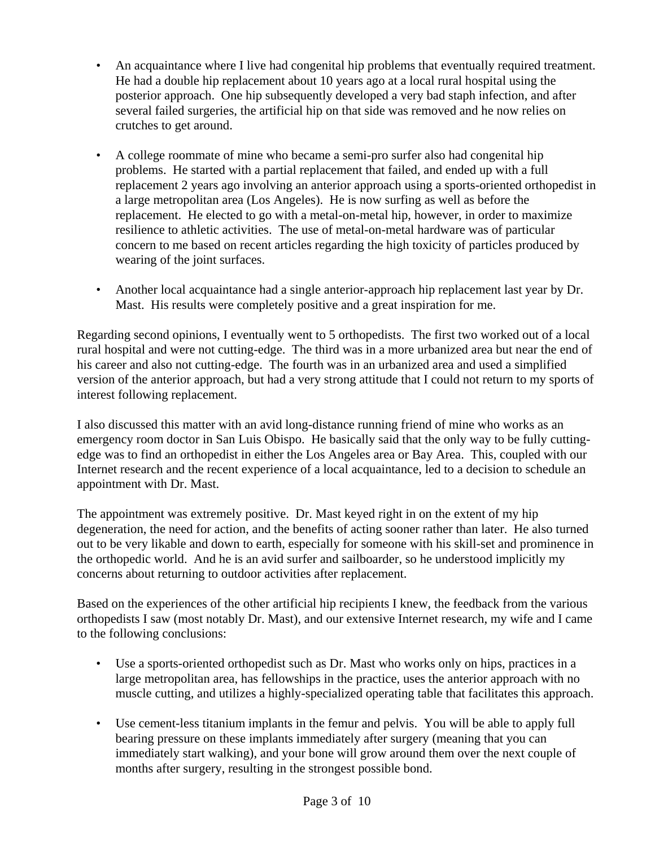- An acquaintance where I live had congenital hip problems that eventually required treatment. He had a double hip replacement about 10 years ago at a local rural hospital using the posterior approach. One hip subsequently developed a very bad staph infection, and after several failed surgeries, the artificial hip on that side was removed and he now relies on crutches to get around.
- A college roommate of mine who became a semi-pro surfer also had congenital hip problems. He started with a partial replacement that failed, and ended up with a full replacement 2 years ago involving an anterior approach using a sports-oriented orthopedist in a large metropolitan area (Los Angeles). He is now surfing as well as before the replacement. He elected to go with a metal-on-metal hip, however, in order to maximize resilience to athletic activities. The use of metal-on-metal hardware was of particular concern to me based on recent articles regarding the high toxicity of particles produced by wearing of the joint surfaces.
- Another local acquaintance had a single anterior-approach hip replacement last year by Dr. Mast. His results were completely positive and a great inspiration for me.

Regarding second opinions, I eventually went to 5 orthopedists. The first two worked out of a local rural hospital and were not cutting-edge. The third was in a more urbanized area but near the end of his career and also not cutting-edge. The fourth was in an urbanized area and used a simplified version of the anterior approach, but had a very strong attitude that I could not return to my sports of interest following replacement.

I also discussed this matter with an avid long-distance running friend of mine who works as an emergency room doctor in San Luis Obispo. He basically said that the only way to be fully cuttingedge was to find an orthopedist in either the Los Angeles area or Bay Area. This, coupled with our Internet research and the recent experience of a local acquaintance, led to a decision to schedule an appointment with Dr. Mast.

The appointment was extremely positive. Dr. Mast keyed right in on the extent of my hip degeneration, the need for action, and the benefits of acting sooner rather than later. He also turned out to be very likable and down to earth, especially for someone with his skill-set and prominence in the orthopedic world. And he is an avid surfer and sailboarder, so he understood implicitly my concerns about returning to outdoor activities after replacement.

Based on the experiences of the other artificial hip recipients I knew, the feedback from the various orthopedists I saw (most notably Dr. Mast), and our extensive Internet research, my wife and I came to the following conclusions:

- Use a sports-oriented orthopedist such as Dr. Mast who works only on hips, practices in a large metropolitan area, has fellowships in the practice, uses the anterior approach with no muscle cutting, and utilizes a highly-specialized operating table that facilitates this approach.
- Use cement-less titanium implants in the femur and pelvis. You will be able to apply full bearing pressure on these implants immediately after surgery (meaning that you can immediately start walking), and your bone will grow around them over the next couple of months after surgery, resulting in the strongest possible bond.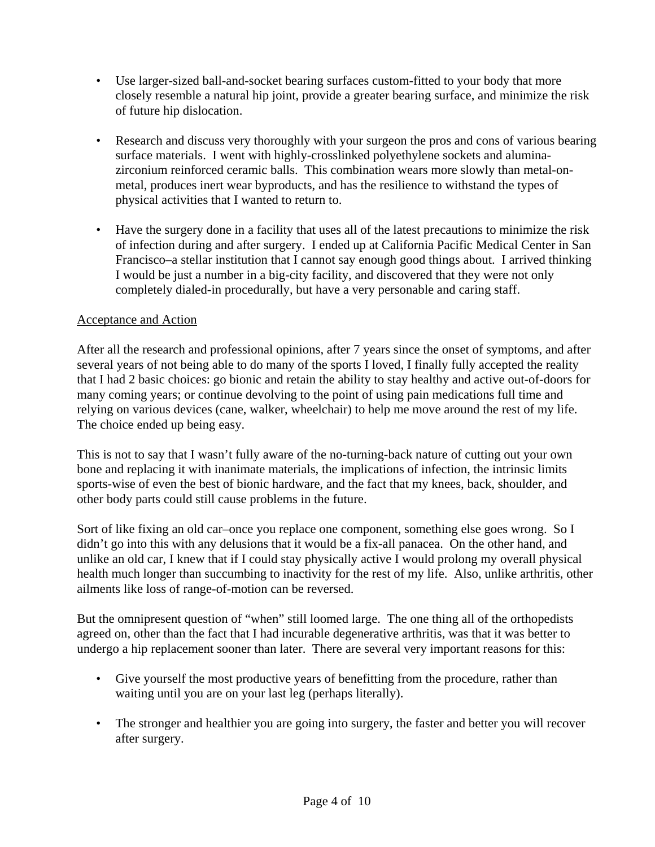- Use larger-sized ball-and-socket bearing surfaces custom-fitted to your body that more closely resemble a natural hip joint, provide a greater bearing surface, and minimize the risk of future hip dislocation.
- Research and discuss very thoroughly with your surgeon the pros and cons of various bearing surface materials. I went with highly-crosslinked polyethylene sockets and aluminazirconium reinforced ceramic balls. This combination wears more slowly than metal-onmetal, produces inert wear byproducts, and has the resilience to withstand the types of physical activities that I wanted to return to.
- Have the surgery done in a facility that uses all of the latest precautions to minimize the risk of infection during and after surgery. I ended up at California Pacific Medical Center in San Francisco–a stellar institution that I cannot say enough good things about. I arrived thinking I would be just a number in a big-city facility, and discovered that they were not only completely dialed-in procedurally, but have a very personable and caring staff.

# Acceptance and Action

After all the research and professional opinions, after 7 years since the onset of symptoms, and after several years of not being able to do many of the sports I loved, I finally fully accepted the reality that I had 2 basic choices: go bionic and retain the ability to stay healthy and active out-of-doors for many coming years; or continue devolving to the point of using pain medications full time and relying on various devices (cane, walker, wheelchair) to help me move around the rest of my life. The choice ended up being easy.

This is not to say that I wasn't fully aware of the no-turning-back nature of cutting out your own bone and replacing it with inanimate materials, the implications of infection, the intrinsic limits sports-wise of even the best of bionic hardware, and the fact that my knees, back, shoulder, and other body parts could still cause problems in the future.

Sort of like fixing an old car–once you replace one component, something else goes wrong. So I didn't go into this with any delusions that it would be a fix-all panacea. On the other hand, and unlike an old car, I knew that if I could stay physically active I would prolong my overall physical health much longer than succumbing to inactivity for the rest of my life. Also, unlike arthritis, other ailments like loss of range-of-motion can be reversed.

But the omnipresent question of "when" still loomed large. The one thing all of the orthopedists agreed on, other than the fact that I had incurable degenerative arthritis, was that it was better to undergo a hip replacement sooner than later. There are several very important reasons for this:

- Give yourself the most productive years of benefitting from the procedure, rather than waiting until you are on your last leg (perhaps literally).
- The stronger and healthier you are going into surgery, the faster and better you will recover after surgery.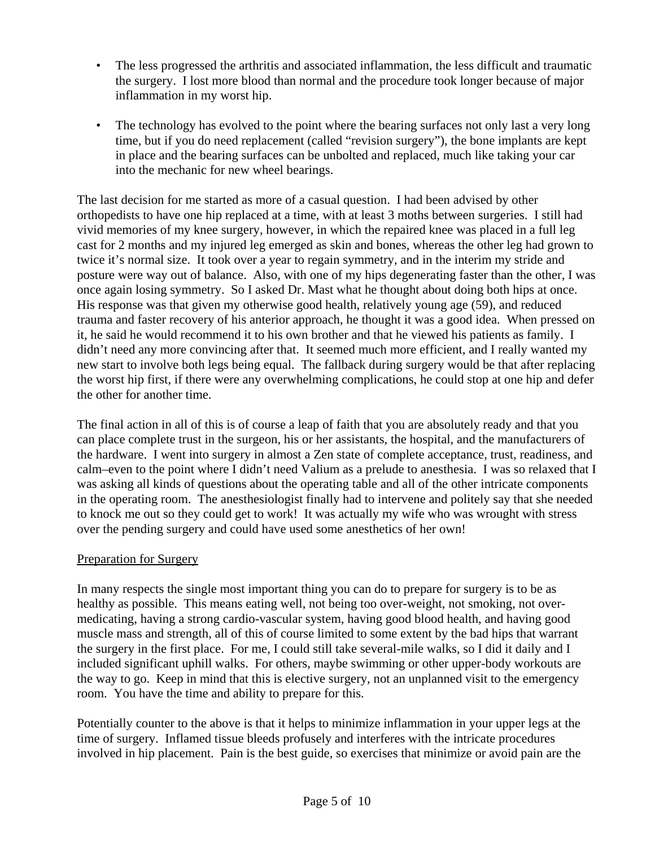- The less progressed the arthritis and associated inflammation, the less difficult and traumatic the surgery. I lost more blood than normal and the procedure took longer because of major inflammation in my worst hip.
- The technology has evolved to the point where the bearing surfaces not only last a very long time, but if you do need replacement (called "revision surgery"), the bone implants are kept in place and the bearing surfaces can be unbolted and replaced, much like taking your car into the mechanic for new wheel bearings.

The last decision for me started as more of a casual question. I had been advised by other orthopedists to have one hip replaced at a time, with at least 3 moths between surgeries. I still had vivid memories of my knee surgery, however, in which the repaired knee was placed in a full leg cast for 2 months and my injured leg emerged as skin and bones, whereas the other leg had grown to twice it's normal size. It took over a year to regain symmetry, and in the interim my stride and posture were way out of balance. Also, with one of my hips degenerating faster than the other, I was once again losing symmetry. So I asked Dr. Mast what he thought about doing both hips at once. His response was that given my otherwise good health, relatively young age (59), and reduced trauma and faster recovery of his anterior approach, he thought it was a good idea. When pressed on it, he said he would recommend it to his own brother and that he viewed his patients as family. I didn't need any more convincing after that. It seemed much more efficient, and I really wanted my new start to involve both legs being equal. The fallback during surgery would be that after replacing the worst hip first, if there were any overwhelming complications, he could stop at one hip and defer the other for another time.

The final action in all of this is of course a leap of faith that you are absolutely ready and that you can place complete trust in the surgeon, his or her assistants, the hospital, and the manufacturers of the hardware. I went into surgery in almost a Zen state of complete acceptance, trust, readiness, and calm–even to the point where I didn't need Valium as a prelude to anesthesia. I was so relaxed that I was asking all kinds of questions about the operating table and all of the other intricate components in the operating room. The anesthesiologist finally had to intervene and politely say that she needed to knock me out so they could get to work! It was actually my wife who was wrought with stress over the pending surgery and could have used some anesthetics of her own!

# Preparation for Surgery

In many respects the single most important thing you can do to prepare for surgery is to be as healthy as possible. This means eating well, not being too over-weight, not smoking, not overmedicating, having a strong cardio-vascular system, having good blood health, and having good muscle mass and strength, all of this of course limited to some extent by the bad hips that warrant the surgery in the first place. For me, I could still take several-mile walks, so I did it daily and I included significant uphill walks. For others, maybe swimming or other upper-body workouts are the way to go. Keep in mind that this is elective surgery, not an unplanned visit to the emergency room. You have the time and ability to prepare for this.

Potentially counter to the above is that it helps to minimize inflammation in your upper legs at the time of surgery. Inflamed tissue bleeds profusely and interferes with the intricate procedures involved in hip placement. Pain is the best guide, so exercises that minimize or avoid pain are the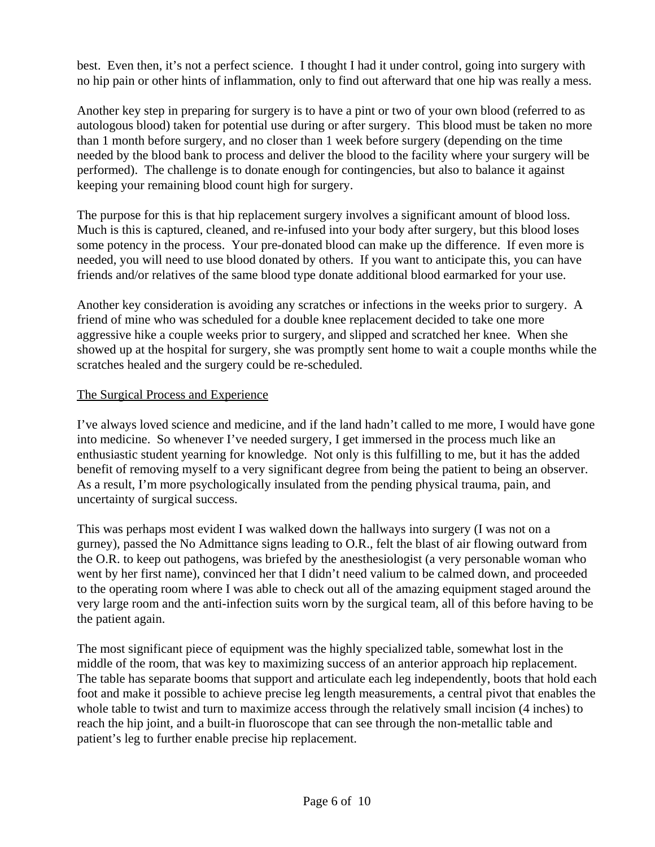best. Even then, it's not a perfect science. I thought I had it under control, going into surgery with no hip pain or other hints of inflammation, only to find out afterward that one hip was really a mess.

Another key step in preparing for surgery is to have a pint or two of your own blood (referred to as autologous blood) taken for potential use during or after surgery. This blood must be taken no more than 1 month before surgery, and no closer than 1 week before surgery (depending on the time needed by the blood bank to process and deliver the blood to the facility where your surgery will be performed). The challenge is to donate enough for contingencies, but also to balance it against keeping your remaining blood count high for surgery.

The purpose for this is that hip replacement surgery involves a significant amount of blood loss. Much is this is captured, cleaned, and re-infused into your body after surgery, but this blood loses some potency in the process. Your pre-donated blood can make up the difference. If even more is needed, you will need to use blood donated by others. If you want to anticipate this, you can have friends and/or relatives of the same blood type donate additional blood earmarked for your use.

Another key consideration is avoiding any scratches or infections in the weeks prior to surgery. A friend of mine who was scheduled for a double knee replacement decided to take one more aggressive hike a couple weeks prior to surgery, and slipped and scratched her knee. When she showed up at the hospital for surgery, she was promptly sent home to wait a couple months while the scratches healed and the surgery could be re-scheduled.

# The Surgical Process and Experience

I've always loved science and medicine, and if the land hadn't called to me more, I would have gone into medicine. So whenever I've needed surgery, I get immersed in the process much like an enthusiastic student yearning for knowledge. Not only is this fulfilling to me, but it has the added benefit of removing myself to a very significant degree from being the patient to being an observer. As a result, I'm more psychologically insulated from the pending physical trauma, pain, and uncertainty of surgical success.

This was perhaps most evident I was walked down the hallways into surgery (I was not on a gurney), passed the No Admittance signs leading to O.R., felt the blast of air flowing outward from the O.R. to keep out pathogens, was briefed by the anesthesiologist (a very personable woman who went by her first name), convinced her that I didn't need valium to be calmed down, and proceeded to the operating room where I was able to check out all of the amazing equipment staged around the very large room and the anti-infection suits worn by the surgical team, all of this before having to be the patient again.

The most significant piece of equipment was the highly specialized table, somewhat lost in the middle of the room, that was key to maximizing success of an anterior approach hip replacement. The table has separate booms that support and articulate each leg independently, boots that hold each foot and make it possible to achieve precise leg length measurements, a central pivot that enables the whole table to twist and turn to maximize access through the relatively small incision (4 inches) to reach the hip joint, and a built-in fluoroscope that can see through the non-metallic table and patient's leg to further enable precise hip replacement.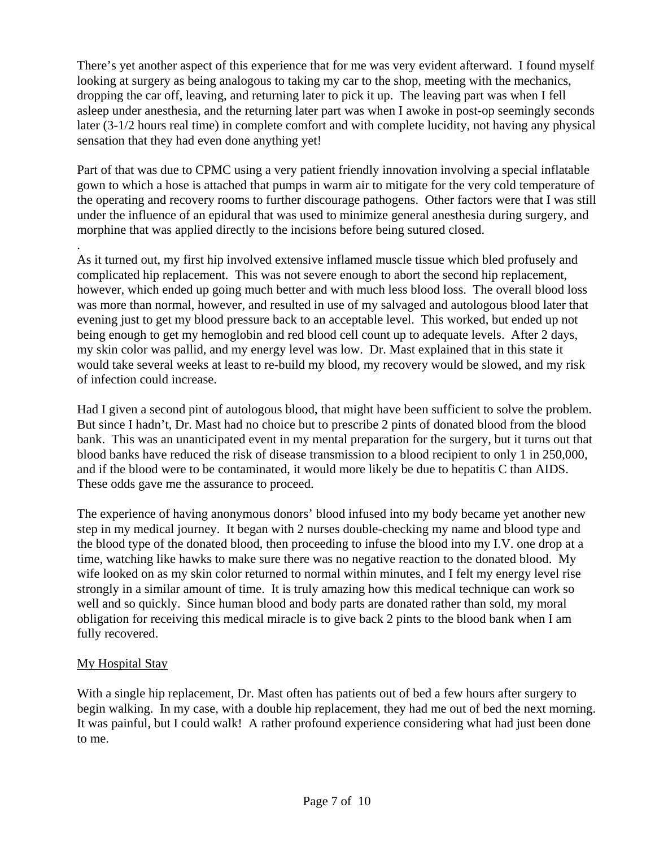There's yet another aspect of this experience that for me was very evident afterward. I found myself looking at surgery as being analogous to taking my car to the shop, meeting with the mechanics, dropping the car off, leaving, and returning later to pick it up. The leaving part was when I fell asleep under anesthesia, and the returning later part was when I awoke in post-op seemingly seconds later (3-1/2 hours real time) in complete comfort and with complete lucidity, not having any physical sensation that they had even done anything yet!

Part of that was due to CPMC using a very patient friendly innovation involving a special inflatable gown to which a hose is attached that pumps in warm air to mitigate for the very cold temperature of the operating and recovery rooms to further discourage pathogens. Other factors were that I was still under the influence of an epidural that was used to minimize general anesthesia during surgery, and morphine that was applied directly to the incisions before being sutured closed.

. As it turned out, my first hip involved extensive inflamed muscle tissue which bled profusely and complicated hip replacement. This was not severe enough to abort the second hip replacement, however, which ended up going much better and with much less blood loss. The overall blood loss was more than normal, however, and resulted in use of my salvaged and autologous blood later that evening just to get my blood pressure back to an acceptable level. This worked, but ended up not being enough to get my hemoglobin and red blood cell count up to adequate levels. After 2 days, my skin color was pallid, and my energy level was low. Dr. Mast explained that in this state it would take several weeks at least to re-build my blood, my recovery would be slowed, and my risk of infection could increase.

Had I given a second pint of autologous blood, that might have been sufficient to solve the problem. But since I hadn't, Dr. Mast had no choice but to prescribe 2 pints of donated blood from the blood bank. This was an unanticipated event in my mental preparation for the surgery, but it turns out that blood banks have reduced the risk of disease transmission to a blood recipient to only 1 in 250,000, and if the blood were to be contaminated, it would more likely be due to hepatitis C than AIDS. These odds gave me the assurance to proceed.

The experience of having anonymous donors' blood infused into my body became yet another new step in my medical journey. It began with 2 nurses double-checking my name and blood type and the blood type of the donated blood, then proceeding to infuse the blood into my I.V. one drop at a time, watching like hawks to make sure there was no negative reaction to the donated blood. My wife looked on as my skin color returned to normal within minutes, and I felt my energy level rise strongly in a similar amount of time. It is truly amazing how this medical technique can work so well and so quickly. Since human blood and body parts are donated rather than sold, my moral obligation for receiving this medical miracle is to give back 2 pints to the blood bank when I am fully recovered.

# My Hospital Stay

With a single hip replacement, Dr. Mast often has patients out of bed a few hours after surgery to begin walking. In my case, with a double hip replacement, they had me out of bed the next morning. It was painful, but I could walk! A rather profound experience considering what had just been done to me.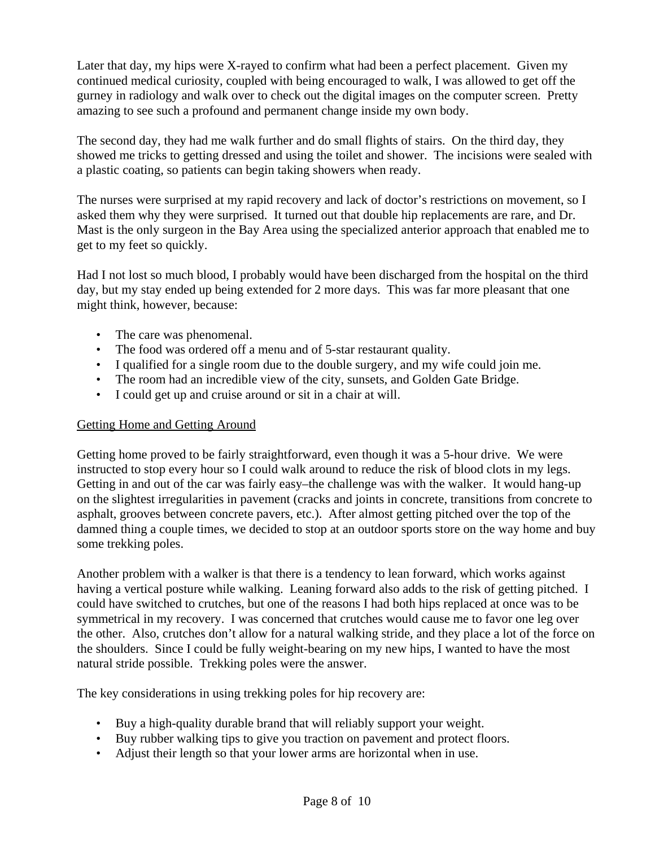Later that day, my hips were X-rayed to confirm what had been a perfect placement. Given my continued medical curiosity, coupled with being encouraged to walk, I was allowed to get off the gurney in radiology and walk over to check out the digital images on the computer screen. Pretty amazing to see such a profound and permanent change inside my own body.

The second day, they had me walk further and do small flights of stairs. On the third day, they showed me tricks to getting dressed and using the toilet and shower. The incisions were sealed with a plastic coating, so patients can begin taking showers when ready.

The nurses were surprised at my rapid recovery and lack of doctor's restrictions on movement, so I asked them why they were surprised. It turned out that double hip replacements are rare, and Dr. Mast is the only surgeon in the Bay Area using the specialized anterior approach that enabled me to get to my feet so quickly.

Had I not lost so much blood, I probably would have been discharged from the hospital on the third day, but my stay ended up being extended for 2 more days. This was far more pleasant that one might think, however, because:

- The care was phenomenal.
- The food was ordered off a menu and of 5-star restaurant quality.
- I qualified for a single room due to the double surgery, and my wife could join me.
- The room had an incredible view of the city, sunsets, and Golden Gate Bridge.
- I could get up and cruise around or sit in a chair at will.

### Getting Home and Getting Around

Getting home proved to be fairly straightforward, even though it was a 5-hour drive. We were instructed to stop every hour so I could walk around to reduce the risk of blood clots in my legs. Getting in and out of the car was fairly easy–the challenge was with the walker. It would hang-up on the slightest irregularities in pavement (cracks and joints in concrete, transitions from concrete to asphalt, grooves between concrete pavers, etc.). After almost getting pitched over the top of the damned thing a couple times, we decided to stop at an outdoor sports store on the way home and buy some trekking poles.

Another problem with a walker is that there is a tendency to lean forward, which works against having a vertical posture while walking. Leaning forward also adds to the risk of getting pitched. I could have switched to crutches, but one of the reasons I had both hips replaced at once was to be symmetrical in my recovery. I was concerned that crutches would cause me to favor one leg over the other. Also, crutches don't allow for a natural walking stride, and they place a lot of the force on the shoulders. Since I could be fully weight-bearing on my new hips, I wanted to have the most natural stride possible. Trekking poles were the answer.

The key considerations in using trekking poles for hip recovery are:

- Buy a high-quality durable brand that will reliably support your weight.
- Buy rubber walking tips to give you traction on pavement and protect floors.
- Adjust their length so that your lower arms are horizontal when in use.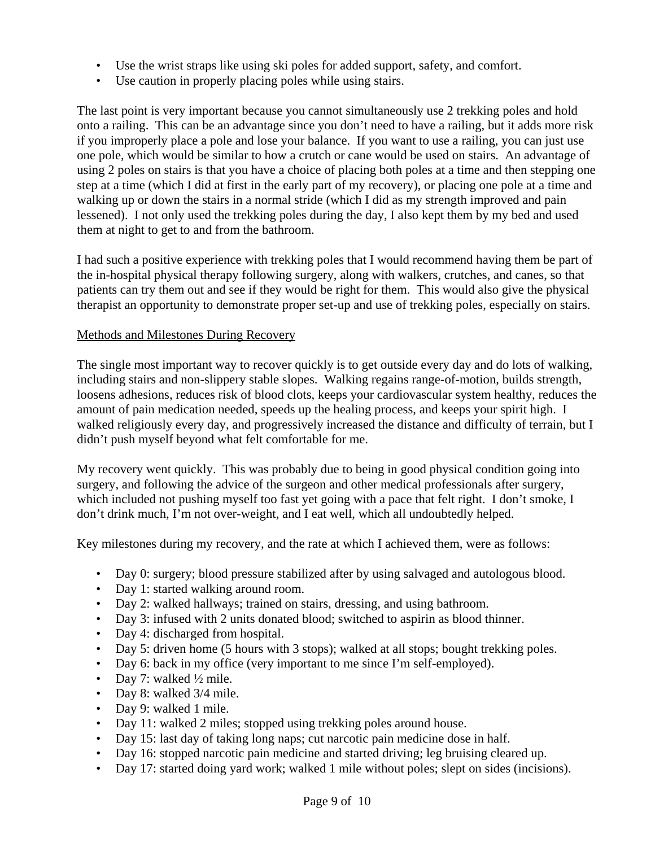- Use the wrist straps like using ski poles for added support, safety, and comfort.
- Use caution in properly placing poles while using stairs.

The last point is very important because you cannot simultaneously use 2 trekking poles and hold onto a railing. This can be an advantage since you don't need to have a railing, but it adds more risk if you improperly place a pole and lose your balance. If you want to use a railing, you can just use one pole, which would be similar to how a crutch or cane would be used on stairs. An advantage of using 2 poles on stairs is that you have a choice of placing both poles at a time and then stepping one step at a time (which I did at first in the early part of my recovery), or placing one pole at a time and walking up or down the stairs in a normal stride (which I did as my strength improved and pain lessened). I not only used the trekking poles during the day, I also kept them by my bed and used them at night to get to and from the bathroom.

I had such a positive experience with trekking poles that I would recommend having them be part of the in-hospital physical therapy following surgery, along with walkers, crutches, and canes, so that patients can try them out and see if they would be right for them. This would also give the physical therapist an opportunity to demonstrate proper set-up and use of trekking poles, especially on stairs.

### Methods and Milestones During Recovery

The single most important way to recover quickly is to get outside every day and do lots of walking, including stairs and non-slippery stable slopes. Walking regains range-of-motion, builds strength, loosens adhesions, reduces risk of blood clots, keeps your cardiovascular system healthy, reduces the amount of pain medication needed, speeds up the healing process, and keeps your spirit high. I walked religiously every day, and progressively increased the distance and difficulty of terrain, but I didn't push myself beyond what felt comfortable for me.

My recovery went quickly. This was probably due to being in good physical condition going into surgery, and following the advice of the surgeon and other medical professionals after surgery, which included not pushing myself too fast yet going with a pace that felt right. I don't smoke, I don't drink much, I'm not over-weight, and I eat well, which all undoubtedly helped.

Key milestones during my recovery, and the rate at which I achieved them, were as follows:

- Day 0: surgery; blood pressure stabilized after by using salvaged and autologous blood.
- Day 1: started walking around room.
- Day 2: walked hallways; trained on stairs, dressing, and using bathroom.
- Day 3: infused with 2 units donated blood; switched to aspirin as blood thinner.
- Day 4: discharged from hospital.
- Day 5: driven home (5 hours with 3 stops); walked at all stops; bought trekking poles.
- Day 6: back in my office (very important to me since I'm self-employed).
- Day 7: walked  $\frac{1}{2}$  mile.
- Day 8: walked 3/4 mile.
- Day 9: walked 1 mile.
- Day 11: walked 2 miles; stopped using trekking poles around house.
- Day 15: last day of taking long naps; cut narcotic pain medicine dose in half.
- Day 16: stopped narcotic pain medicine and started driving; leg bruising cleared up.
- Day 17: started doing yard work; walked 1 mile without poles; slept on sides (incisions).